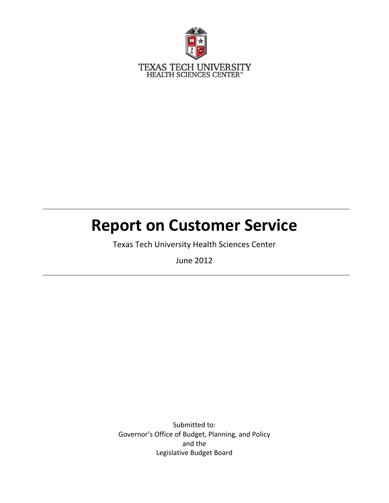

# **Report on Customer Service**

Texas Tech University Health Sciences Center

June 2012

Submitted to: Governor's Office of Budget, Planning, and Policy and the Legislative Budget Board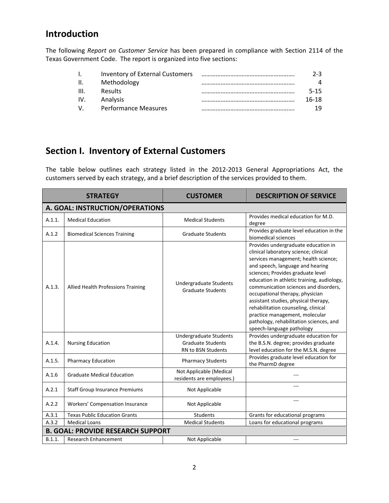# **Introduction**

The following *Report on Customer Service* has been prepared in compliance with Section 2114 of the Texas Government Code. The report is organized into five sections:

| $\mathbf{L}$    | Inventory of External Customers | 2-3.     |
|-----------------|---------------------------------|----------|
| $\mathbf{II}$ . | Methodology                     | Δ        |
| III.            | <b>Results</b>                  | $5 - 15$ |
| IV.             | Analysis                        | $16-18$  |
| $V_{\cdot}$     | <b>Performance Measures</b>     | 1 Q      |

# **Section I. Inventory of External Customers**

The table below outlines each strategy listed in the 2012‐2013 General Appropriations Act, the customers served by each strategy, and a brief description of the services provided to them.

|        | <b>STRATEGY</b>                          | <b>CUSTOMER</b>                                                          | <b>DESCRIPTION OF SERVICE</b>                                                                                                                                                                                                                                                                                                                                                                                                                                                                                    |  |  |
|--------|------------------------------------------|--------------------------------------------------------------------------|------------------------------------------------------------------------------------------------------------------------------------------------------------------------------------------------------------------------------------------------------------------------------------------------------------------------------------------------------------------------------------------------------------------------------------------------------------------------------------------------------------------|--|--|
|        | A. GOAL: INSTRUCTION/OPERATIONS          |                                                                          |                                                                                                                                                                                                                                                                                                                                                                                                                                                                                                                  |  |  |
| A.1.1. | <b>Medical Education</b>                 | <b>Medical Students</b>                                                  | Provides medical education for M.D.<br>degree                                                                                                                                                                                                                                                                                                                                                                                                                                                                    |  |  |
| A.1.2  | <b>Biomedical Sciences Training</b>      | <b>Graduate Students</b>                                                 | Provides graduate level education in the<br>biomedical sciences                                                                                                                                                                                                                                                                                                                                                                                                                                                  |  |  |
| A.1.3. | Allied Health Professions Training       | Undergraduate Students<br><b>Graduate Students</b>                       | Provides undergraduate education in<br>clinical laboratory science; clinical<br>services management; health science;<br>and speech, language and hearing<br>sciences; Provides graduate level<br>education in athletic training, audiology,<br>communication sciences and disorders,<br>occupational therapy, physician<br>assistant studies, physical therapy,<br>rehabilitation counseling, clinical<br>practice management, molecular<br>pathology, rehabilitation sciences, and<br>speech-language pathology |  |  |
| A.1.4. | <b>Nursing Education</b>                 | Undergraduate Students<br><b>Graduate Students</b><br>RN to BSN Students | Provides undergraduate education for<br>the B.S.N. degree; provides graduate<br>level education for the M.S.N. degree                                                                                                                                                                                                                                                                                                                                                                                            |  |  |
| A.1.5. | <b>Pharmacy Education</b>                | <b>Pharmacy Students</b>                                                 | Provides graduate level education for<br>the PharmD degree                                                                                                                                                                                                                                                                                                                                                                                                                                                       |  |  |
| A.1.6  | <b>Graduate Medical Education</b>        | Not Applicable (Medical<br>residents are employees.)                     |                                                                                                                                                                                                                                                                                                                                                                                                                                                                                                                  |  |  |
| A.2.1  | <b>Staff Group Insurance Premiums</b>    | Not Applicable                                                           | $---$                                                                                                                                                                                                                                                                                                                                                                                                                                                                                                            |  |  |
| A.2.2  | Workers' Compensation Insurance          | Not Applicable                                                           | ---                                                                                                                                                                                                                                                                                                                                                                                                                                                                                                              |  |  |
| A.3.1  | <b>Texas Public Education Grants</b>     | <b>Students</b>                                                          | Grants for educational programs                                                                                                                                                                                                                                                                                                                                                                                                                                                                                  |  |  |
| A.3.2  | <b>Medical Loans</b>                     | <b>Medical Students</b>                                                  | Loans for educational programs                                                                                                                                                                                                                                                                                                                                                                                                                                                                                   |  |  |
|        | <b>B. GOAL: PROVIDE RESEARCH SUPPORT</b> |                                                                          |                                                                                                                                                                                                                                                                                                                                                                                                                                                                                                                  |  |  |
| B.1.1. | <b>Research Enhancement</b>              | Not Applicable                                                           | ---                                                                                                                                                                                                                                                                                                                                                                                                                                                                                                              |  |  |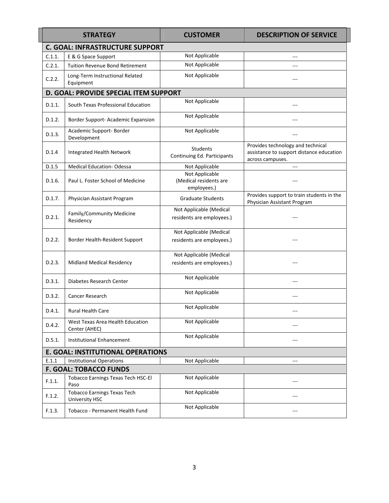|        | <b>STRATEGY</b>                                             | <b>CUSTOMER</b>                                         | <b>DESCRIPTION OF SERVICE</b>                                                                     |
|--------|-------------------------------------------------------------|---------------------------------------------------------|---------------------------------------------------------------------------------------------------|
|        | <b>C. GOAL: INFRASTRUCTURE SUPPORT</b>                      |                                                         |                                                                                                   |
| C.1.1. | E & G Space Support                                         | Not Applicable                                          |                                                                                                   |
| C.2.1. | <b>Tuition Revenue Bond Retirement</b>                      | Not Applicable                                          | ---                                                                                               |
| C.2.2. | Long-Term Instructional Related<br>Equipment                | Not Applicable                                          | ---                                                                                               |
|        | D. GOAL: PROVIDE SPECIAL ITEM SUPPORT                       |                                                         |                                                                                                   |
| D.1.1. | South Texas Professional Education                          | Not Applicable                                          |                                                                                                   |
| D.1.2. | Border Support- Academic Expansion                          | Not Applicable                                          | ---                                                                                               |
| D.1.3. | Academic Support- Border<br>Development                     | Not Applicable                                          |                                                                                                   |
| D.1.4  | Integrated Health Network                                   | Students<br>Continuing Ed. Participants                 | Provides technology and technical<br>assistance to support distance education<br>across campuses. |
| D.1.5  | <b>Medical Education-Odessa</b>                             | Not Applicable                                          |                                                                                                   |
| D.1.6. | Paul L. Foster School of Medicine                           | Not Applicable<br>(Medical residents are<br>employees.) |                                                                                                   |
| D.1.7. | Physician Assistant Program                                 | <b>Graduate Students</b>                                | Provides support to train students in the<br>Physician Assistant Program                          |
| D.2.1. | Family/Community Medicine<br>Residency                      | Not Applicable (Medical<br>residents are employees.)    |                                                                                                   |
| D.2.2. | Border Health-Resident Support                              | Not Applicable (Medical<br>residents are employees.)    |                                                                                                   |
| D.2.3. | Midland Medical Residency                                   | Not Applicable (Medical<br>residents are employees.)    | ---                                                                                               |
| D.3.1. | Diabetes Research Center                                    | Not Applicable                                          |                                                                                                   |
| D.3.2. | Cancer Research                                             | Not Applicable                                          |                                                                                                   |
| D.4.1. | <b>Rural Health Care</b>                                    | Not Applicable                                          |                                                                                                   |
| D.4.2. | West Texas Area Health Education<br>Center (AHEC)           | Not Applicable                                          |                                                                                                   |
| D.5.1. | Institutional Enhancement                                   | Not Applicable                                          | ---                                                                                               |
|        | <b>E. GOAL: INSTITUTIONAL OPERATIONS</b>                    |                                                         |                                                                                                   |
| E.1.1  | <b>Institutional Operations</b>                             | Not Applicable                                          | $\overline{a}$                                                                                    |
|        | <b>F. GOAL: TOBACCO FUNDS</b>                               |                                                         |                                                                                                   |
| F.1.1. | <b>Tobacco Earnings Texas Tech HSC-El</b><br>Paso           | Not Applicable                                          |                                                                                                   |
| F.1.2. | <b>Tobacco Earnings Texas Tech</b><br><b>University HSC</b> | Not Applicable                                          | ---                                                                                               |
| F.1.3. | Tobacco - Permanent Health Fund                             | Not Applicable                                          | ---                                                                                               |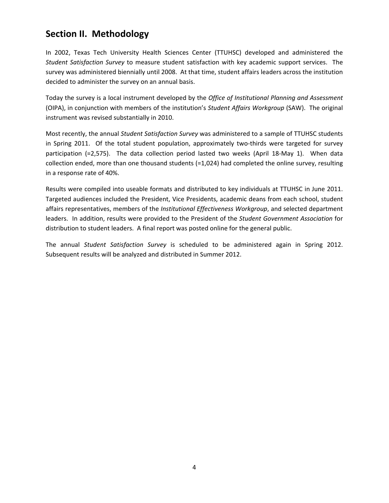# **Section II. Methodology**

In 2002, Texas Tech University Health Sciences Center (TTUHSC) developed and administered the *Student Satisfaction Survey* to measure student satisfaction with key academic support services. The survey was administered biennially until 2008. At that time, student affairs leaders across the institution decided to administer the survey on an annual basis.

Today the survey is a local instrument developed by the *Office of Institutional Planning and Assessment* (OIPA), in conjunction with members of the institution's *Student Affairs Workgroup* (SAW). The original instrument was revised substantially in 2010.

Most recently, the annual *Student Satisfaction Survey* was administered to a sample of TTUHSC students in Spring 2011. Of the total student population, approximately two-thirds were targeted for survey participation (=2,575). The data collection period lasted two weeks (April 18-May 1). When data collection ended, more than one thousand students (=1,024) had completed the online survey, resulting in a response rate of 40%.

Results were compiled into useable formats and distributed to key individuals at TTUHSC in June 2011. Targeted audiences included the President, Vice Presidents, academic deans from each school, student affairs representatives, members of the *Institutional Effectiveness Workgroup*, and selected department leaders. In addition, results were provided to the President of the *Student Government Association* for distribution to student leaders. A final report was posted online for the general public.

The annual *Student Satisfaction Survey* is scheduled to be administered again in Spring 2012. Subsequent results will be analyzed and distributed in Summer 2012.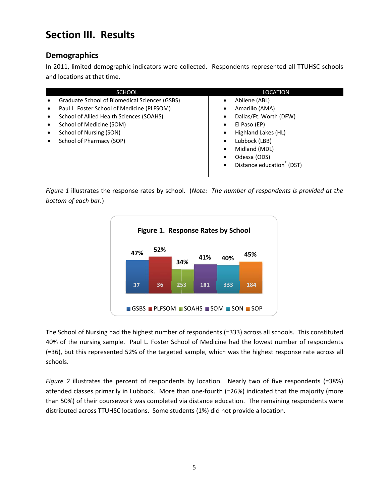# **Section III. Results**

## **Demogr raphics**

In 2011, limited demographic indicators were collected. Respondents represented all TTUHSC schools and locations at that time.

|                                                       | <b>SCHOOL</b> |     |                                    |     |     |                | <b>LOCATION</b>                                                                                        |
|-------------------------------------------------------|---------------|-----|------------------------------------|-----|-----|----------------|--------------------------------------------------------------------------------------------------------|
| Graduate School of Biomedical Sciences (GSBS)         |               |     |                                    |     |     | Abilene (ABL)  |                                                                                                        |
| Paul L. Foster School of Medicine (PLFSOM)<br>٠       |               |     |                                    |     |     | Amarillo (AMA) |                                                                                                        |
| School of Allied Health Sciences (SOAHS)<br>$\bullet$ |               |     |                                    |     |     |                | Dallas/Ft. Worth (DFW)                                                                                 |
| School of Medicine (SOM)<br>$\bullet$                 |               |     |                                    |     |     | El Paso (EP)   |                                                                                                        |
| School of Nursing (SON)<br>٠                          |               |     |                                    |     |     |                | Highland Lakes (HL)                                                                                    |
| School of Pharmacy (SOP)<br>٠                         |               |     |                                    |     | ٠   | Lubbock (LBB)  |                                                                                                        |
|                                                       |               |     |                                    |     |     | Midland (MDL)  |                                                                                                        |
|                                                       |               |     |                                    |     |     | Odessa (ODS)   |                                                                                                        |
|                                                       |               |     |                                    |     |     |                | Distance education <sup>®</sup> (DST)                                                                  |
|                                                       |               |     |                                    |     |     |                |                                                                                                        |
| bottom of each bar.)                                  |               |     | Figure 1. Response Rates by School |     |     |                | Figure 1 illustrates the response rates by school. (Note: The number of respondents is provided at the |
|                                                       | 47%           | 52% |                                    |     |     | 45%            |                                                                                                        |
|                                                       |               |     | 34%                                | 41% | 40% |                |                                                                                                        |
|                                                       |               |     |                                    |     |     |                |                                                                                                        |



The School of Nursing had the highest number of respondents (=333) across all schools. This constituted 40% of the nursing sample. Paul L. Foster School of Medicine had the lowest number of respondents (=36), but this represented 52% of the targeted sample, which was the highest response rate across all schools.

Figure 2 illustrates the percent of respondents by location. Nearly two of five respondents (=38%) attended classes primarily in Lubbock. More than one-fourth (=26%) indicated that the majority (more than 50%) of their coursework was completed via distance education. The remaining respondents were distributed across TTUHSC locations. Some students (1%) did not provide a location.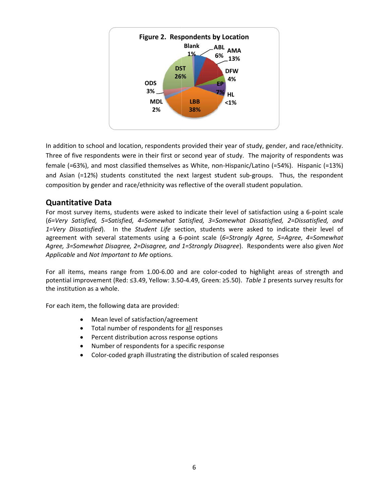

In addition to school and location, respondents provided their year of study, gender, and race/ethnicity. Three of five respondents were in their first or second year of study. The majority of respondents was female (=63%), and most classified themselves as White, non-Hispanic/Latino (=54%). Hispanic (=13%) and Asian (=12%) students constituted the next largest student sub-groups. Thus, the respondent composition by gender and race/ethnicity was reflective of the overall student population.

### **Quantit tative Data a**

For most survey items, students were asked to indicate their level of satisfaction using a 6-point scale (6=Very Satisfied, 5=Satisfied, 4=Somewhat Satisfied, 3=Somewhat Dissatisfied, 2=Dissatisfied, and 1=Very Dissatisfied). In the Student Life section, students were asked to indicate their level of agreement with several statements using a 6-point scale (6=Strongly Agree, 5=Agree, 4=Somewhat Agree, 3=Somewhat Disagree, 2=Disagree, and 1=Strongly Disagree). Respondents were also given Not Applicable and Not Important to Me options.

For all items, means range from 1.00-6.00 and are color-coded to highlight areas of strength and potential improvement (Red: ≤3.49, Yellow: 3.50-4.49, Green: ≥5.50). *Table 1* presents survey results for the institution as a whole.

For each item, the following data are provided:

- Mean level of satisfaction/agreement
- Total number of respondents for all responses
- Percent distribution across response options
- Number of respondents for a specific response
- Color-coded graph illustrating the distribution of scaled responses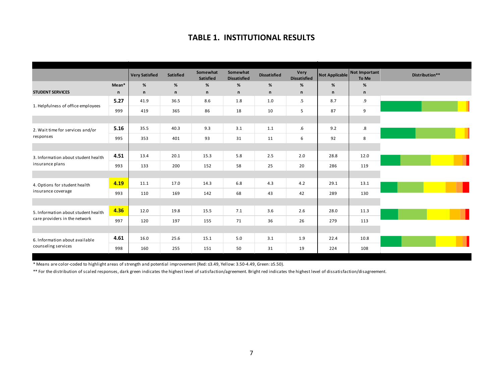#### **TABLE 1. INSTITUTIONAL RESULTS**

|                                     |       | <b>Very Satisfied</b> | Satisfied | Somewhat<br>Satisfied | Somewhat<br><b>Dissatisfied</b> | <b>Dissatisfied</b> | <b>Very</b><br><b>Dissatisfied</b> | Not Applicable | Not Important<br>To Me | Distribution** |
|-------------------------------------|-------|-----------------------|-----------|-----------------------|---------------------------------|---------------------|------------------------------------|----------------|------------------------|----------------|
|                                     | Mean* | %                     | %         | %                     | $\%$                            | %                   | $\%$                               | %              | %                      |                |
| <b>STUDENT SERVICES</b>             | n     | $\mathsf{n}$          | n         | $\mathsf{n}$          | $\mathsf{n}$                    | $\mathsf n$         | n                                  | $\mathsf n$    | $\mathsf{n}$           |                |
| 1. Helpfulness of office employees  | 5.27  | 41.9                  | 36.5      | 8.6                   | 1.8                             | 1.0                 | .5                                 | 8.7            | .9                     |                |
|                                     | 999   | 419                   | 365       | 86                    | 18                              | 10                  | 5                                  | 87             | 9                      |                |
|                                     |       |                       |           |                       |                                 |                     |                                    |                |                        |                |
| 2. Wait time for services and/or    | 5.16  | 35.5                  | 40.3      | 9.3                   | 3.1                             | 1.1                 | $.6\,$                             | 9.2            | $.8\,$                 |                |
| responses                           | 995   | 353                   | 401       | 93                    | 31                              | 11                  | 6                                  | 92             | 8                      |                |
|                                     |       |                       |           |                       |                                 |                     |                                    |                |                        |                |
| 3. Information about student health | 4.51  | 13.4                  | 20.1      | 15.3                  | 5.8                             | 2.5                 | 2.0                                | 28.8           | 12.0                   |                |
| insurance plans                     | 993   | 133                   | 200       | 152                   | 58                              | 25                  | 20                                 | 286            | 119                    |                |
|                                     |       |                       |           |                       |                                 |                     |                                    |                |                        |                |
| 4. Options for student health       | 4.19  | 11.1                  | 17.0      | 14.3                  | 6.8                             | 4.3                 | 4.2                                | 29.1           | 13.1                   |                |
| insurance coverage                  | 993   | 110                   | 169       | 142                   | 68                              | 43                  | 42                                 | 289            | 130                    |                |
|                                     |       |                       |           |                       |                                 |                     |                                    |                |                        |                |
| 5. Information about student health | 4.36  | 12.0                  | 19.8      | 15.5                  | 7.1                             | 3.6                 | 2.6                                | 28.0           | 11.3                   |                |
| care providers in the network       | 997   | 120                   | 197       | 155                   | 71                              | 36                  | 26                                 | 279            | 113                    |                |
|                                     |       |                       |           |                       |                                 |                     |                                    |                |                        |                |
| 6. Information about available      | 4.61  | 16.0                  | 25.6      | 15.1                  | 5.0                             | 3.1                 | 1.9                                | 22.4           | 10.8                   |                |
| counseling services                 | 998   | 160                   | 255       | 151                   | 50                              | 31                  | 19                                 | 224            | 108                    |                |

\* Means are color‐coded to highlight areas of strength and potential improvement (Red: ≤3.49, Yellow: 3.50‐4.49, Green: ≥5.50).

\*\* For the distribution of scaled responses, dark green indicates the highest level of satisfaction/agreement. Bright red indicates the highest level of dissatisfaction/disagreement.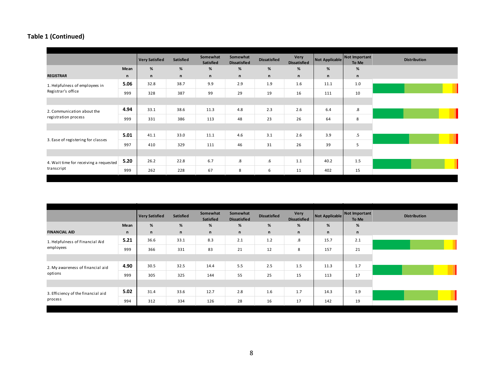|                                        |              | <b>Very Satisfied</b> | Satisfied | Somewhat<br>Satisfied | Somewhat<br><b>Dissatisfied</b> | <b>Dissatisfied</b> | Very<br><b>Dissatisfied</b> | Not Applicable Not Important | To Me             | <b>Distribution</b> |
|----------------------------------------|--------------|-----------------------|-----------|-----------------------|---------------------------------|---------------------|-----------------------------|------------------------------|-------------------|---------------------|
|                                        | Mean         | %                     | $\%$      | %                     | %                               | %                   | $\%$                        | %                            | $\%$              |                     |
| <b>REGISTRAR</b>                       | $\mathsf{n}$ | n                     | n         | n                     | $\mathsf{n}$                    | $\mathsf{n}$        | n                           | n                            | n                 |                     |
| 1. Helpfulness of employees in         | 5.06         | 32.8                  | 38.7      | 9.9                   | 2.9                             | 1.9                 | 1.6                         | 11.1                         | 1.0               |                     |
| Registrar's office                     | 999          | 328                   | 387       | 99                    | 29                              | 19                  | 16                          | 111                          | 10                |                     |
|                                        |              |                       |           |                       |                                 |                     |                             |                              |                   |                     |
| 2. Communication about the             | 4.94         | 33.1                  | 38.6      | 11.3                  | 4.8                             | 2.3                 | 2.6                         | 6.4                          | $\boldsymbol{.8}$ |                     |
| registration process                   | 999          | 331                   | 386       | 113                   | 48                              | 23                  | 26                          | 64                           | 8                 |                     |
|                                        |              |                       |           |                       |                                 |                     |                             |                              |                   |                     |
|                                        | 5.01         | 41.1                  | 33.0      | 11.1                  | 4.6                             | 3.1                 | 2.6                         | 3.9                          | $.5\,$            |                     |
| 3. Ease of registering for classes     | 997          | 410                   | 329       | 111                   | 46                              | 31                  | 26                          | 39                           | 5                 |                     |
|                                        |              |                       |           |                       |                                 |                     |                             |                              |                   |                     |
| 4. Wait time for receiving a requested | 5.20         | 26.2                  | 22.8      | 6.7                   | $\boldsymbol{.8}$               | .6                  | 1.1                         | 40.2                         | 1.5               |                     |
| transcript                             | 999          | 262                   | 228       | 67                    | 8                               | 6                   | 11                          | 402                          | 15                |                     |

|                                    |              | <b>Very Satisfied</b> | <b>Satisfied</b> | Somewhat<br>Satisfied | Somewhat<br><b>Dissatisfied</b> | <b>Dissatisfied</b> | Very<br><b>Dissatisfied</b> | Not Applicable | Not Important<br>To Me | <b>Distribution</b> |
|------------------------------------|--------------|-----------------------|------------------|-----------------------|---------------------------------|---------------------|-----------------------------|----------------|------------------------|---------------------|
|                                    | Mean         | %                     | $\%$             | %                     | $\%$                            | %                   | %                           | %              | $\%$                   |                     |
| <b>FINANCIAL AID</b>               | $\mathsf{n}$ | n                     | $\mathsf{n}$     | n                     | $\mathsf{n}$                    | $\mathsf{n}$        | n                           | n              | $\mathsf{n}$           |                     |
| 1. Helpfulness of Financial Aid    | 5.21         | 36.6                  | 33.1             | 8.3                   | 2.1                             | 1.2                 | 8.                          | 15.7           | 2.1                    |                     |
| employees                          | 999          | 366                   | 331              | 83                    | 21                              | 12                  | 8                           | 157            | 21                     |                     |
|                                    |              |                       |                  |                       |                                 |                     |                             |                |                        |                     |
| 2. My awareness of financial aid   | 4.90         | 30.5                  | 32.5             | 14.4                  | 5.5                             | 2.5                 | 1.5                         | 11.3           | 1.7                    |                     |
| options                            | 999          | 305                   | 325              | 144                   | 55                              | 25                  | 15                          | 113            | 17                     |                     |
|                                    |              |                       |                  |                       |                                 |                     |                             |                |                        |                     |
| 3. Efficiency of the financial aid | 5.02         | 31.4                  | 33.6             | 12.7                  | 2.8                             | 1.6                 | 1.7                         | 14.3           | 1.9                    |                     |
| process                            | 994          | 312                   | 334              | 126                   | 28                              | 16                  | 17                          | 142            | 19                     |                     |
|                                    |              |                       |                  |                       |                                 |                     |                             |                |                        |                     |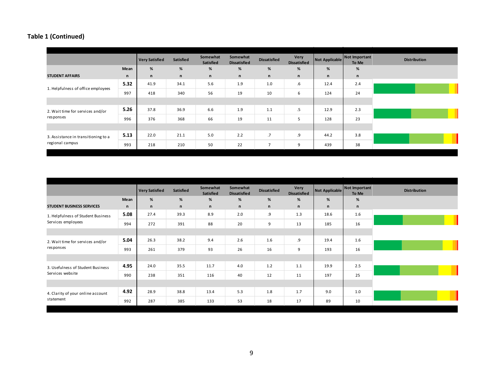|                                     |      | <b>Very Satisfied</b> | Satisfied    | Somewhat<br>Satisfied | Somewhat<br><b>Dissatisfied</b> | <b>Dissatisfied</b> | <b>Very</b><br><b>Dissatisfied</b> | Not Applicable | Not Important<br>To Me | <b>Distribution</b> |
|-------------------------------------|------|-----------------------|--------------|-----------------------|---------------------------------|---------------------|------------------------------------|----------------|------------------------|---------------------|
|                                     | Mean | %                     | $\%$         | $\%$                  | %                               | $\%$                | $\%$                               | %              | $\%$                   |                     |
| <b>STUDENT AFFAIRS</b>              | n    | n                     | $\mathsf{n}$ | n                     | $\mathsf{n}$                    | $\mathsf{n}$        | n                                  | n              | n                      |                     |
| 1. Helpfulness of office employees  | 5.32 | 41.9                  | 34.1         | 5.6                   | 1.9                             | 1.0                 | $.6\,$                             | 12.4           | 2.4                    |                     |
|                                     | 997  | 418                   | 340          | 56                    | 19                              | 10                  | 6                                  | 124            | 24                     |                     |
|                                     |      |                       |              |                       |                                 |                     |                                    |                |                        |                     |
| 2. Wait time for services and/or    | 5.26 | 37.8                  | 36.9         | 6.6                   | 1.9                             | 1.1                 | $.5\,$                             | 12.9           | 2.3                    |                     |
| responses                           | 996  | 376                   | 368          | 66                    | 19                              | 11                  | 5                                  | 128            | 23                     |                     |
|                                     |      |                       |              |                       |                                 |                     |                                    |                |                        |                     |
| 3. Assistance in transitioning to a | 5.13 | 22.0                  | 21.1         | 5.0                   | 2.2                             | .7                  | .9                                 | 44.2           | 3.8                    |                     |
| regional campus                     | 993  | 218                   | 210          | 50                    | 22                              | 7                   | 9                                  | 439            | 38                     |                     |

|                                    |      | <b>Very Satisfied</b> | Satisfied    | Somewhat<br>Satisfied | Somewhat<br><b>Dissatisfied</b> | <b>Dissatisfied</b> | Very<br><b>Dissatisfied</b> | Not Applicable | Not Important<br>To Me | <b>Distribution</b> |
|------------------------------------|------|-----------------------|--------------|-----------------------|---------------------------------|---------------------|-----------------------------|----------------|------------------------|---------------------|
|                                    | Mean | %                     | %            | %                     | %                               | %                   | %                           | %              | $\%$                   |                     |
| <b>STUDENT BUSINESS SERVICES</b>   | n    | n                     | $\mathsf{n}$ | n                     | $\mathsf{n}$                    | $\mathsf{n}$        | n                           | n              | n                      |                     |
| 1. Helpfulness of Student Business | 5.08 | 27.4                  | 39.3         | 8.9                   | 2.0                             | .9                  | 1.3                         | 18.6           | 1.6                    |                     |
| Services employees                 | 994  | 272                   | 391          | 88                    | 20                              | 9                   | 13                          | 185            | 16                     |                     |
|                                    |      |                       |              |                       |                                 |                     |                             |                |                        |                     |
| 2. Wait time for services and/or   | 5.04 | 26.3                  | 38.2         | 9.4                   | 2.6                             | 1.6                 | .9                          | 19.4           | 1.6                    |                     |
| responses                          | 993  | 261                   | 379          | 93                    | 26                              | 16                  | 9                           | 193            | 16                     |                     |
|                                    |      |                       |              |                       |                                 |                     |                             |                |                        |                     |
| 3. Usefulness of Student Business  | 4.95 | 24.0                  | 35.5         | 11.7                  | 4.0                             | 1.2                 | 1.1                         | 19.9           | 2.5                    |                     |
| Services website                   | 990  | 238                   | 351          | 116                   | 40                              | 12                  | 11                          | 197            | 25                     |                     |
|                                    |      |                       |              |                       |                                 |                     |                             |                |                        |                     |
| 4. Clarity of your online account  | 4.92 | 28.9                  | 38.8         | 13.4                  | 5.3                             | 1.8                 | 1.7                         | 9.0            | 1.0                    |                     |
| statement                          | 992  | 287                   | 385          | 133                   | 53                              | 18                  | 17                          | 89             | 10                     |                     |
|                                    |      |                       |              |                       |                                 |                     |                             |                |                        |                     |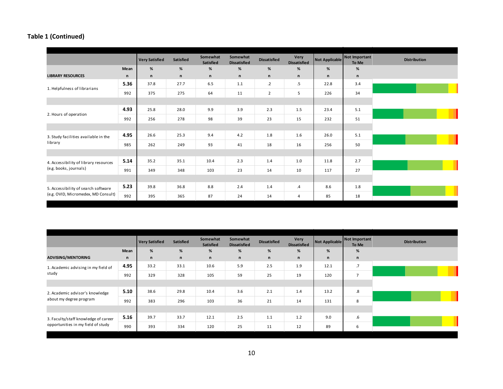|                                                                            |      | <b>Very Satisfied</b> | <b>Satisfied</b> | Somewhat<br>Satisfied | Somewhat<br><b>Dissatisfied</b> | <b>Dissatisfied</b> | Very<br><b>Dissatisfied</b> |      | Not Applicable Not Important<br>To Me | <b>Distribution</b> |
|----------------------------------------------------------------------------|------|-----------------------|------------------|-----------------------|---------------------------------|---------------------|-----------------------------|------|---------------------------------------|---------------------|
|                                                                            | Mean | %                     | %                | %                     | %                               | %                   | $\%$                        | %    | %                                     |                     |
| <b>LIBRARY RESOURCES</b>                                                   | n    | $\mathsf{n}$          | $\mathsf{n}$     | n                     | $\mathsf{n}$                    | $\mathsf n$         | n                           | n    | $\mathsf{n}$                          |                     |
| 1. Helpfulness of librarians                                               | 5.36 | 37.8                  | 27.7             | 6.5                   | 1.1                             | $\cdot$ .2          | $.5\,$                      | 22.8 | 3.4                                   |                     |
|                                                                            | 992  | 375                   | 275              | 64                    | 11                              | $\overline{2}$      | 5                           | 226  | 34                                    |                     |
|                                                                            |      |                       |                  |                       |                                 |                     |                             |      |                                       |                     |
|                                                                            | 4.93 | 25.8                  | 28.0             | 9.9                   | 3.9                             | 2.3                 | 1.5                         | 23.4 | 5.1                                   |                     |
| 2. Hours of operation                                                      | 992  | 256                   | 278              | 98                    | 39                              | 23                  | 15                          | 232  | 51                                    |                     |
|                                                                            |      |                       |                  |                       |                                 |                     |                             |      |                                       |                     |
| 3. Study facilities available in the                                       | 4.95 | 26.6                  | 25.3             | 9.4                   | 4.2                             | 1.8                 | 1.6                         | 26.0 | 5.1                                   |                     |
| library                                                                    | 985  | 262                   | 249              | 93                    | 41                              | 18                  | 16                          | 256  | 50                                    |                     |
|                                                                            |      |                       |                  |                       |                                 |                     |                             |      |                                       |                     |
| 4. Accessibility of library resources                                      | 5.14 | 35.2                  | 35.1             | 10.4                  | 2.3                             | 1.4                 | 1.0                         | 11.8 | 2.7                                   |                     |
| (e.g. books, journals)                                                     | 991  | 349                   | 348              | 103                   | 23                              | 14                  | 10                          | 117  | 27                                    |                     |
|                                                                            |      |                       |                  |                       |                                 |                     |                             |      |                                       |                     |
| 5. Accessibility of search software<br>(e.g. OVID, Micromedex, MD Consult) | 5.23 | 39.8                  | 36.8             | 8.8                   | 2.4                             | 1.4                 | $\cdot$                     | 8.6  | 1.8                                   |                     |
|                                                                            | 992  | 395                   | 365              | 87                    | 24                              | 14                  | 4                           | 85   | 18                                    |                     |

|                                              |      | <b>Very Satisfied</b> | <b>Satisfied</b> | Somewhat<br><b>Satisfied</b> | Somewhat<br><b>Dissatisfied</b> | <b>Dissatisfied</b> | Very<br><b>Dissatisfied</b> | Not Applicable Not Important | To Me           |
|----------------------------------------------|------|-----------------------|------------------|------------------------------|---------------------------------|---------------------|-----------------------------|------------------------------|-----------------|
|                                              | Mean | %                     | %                | %                            | $\%$                            | %                   | %                           | %                            | %               |
| <b>ADVISING/MENTORING</b>                    | n    | $\mathsf{n}$          | n                | n                            | $\mathsf{n}$                    | $\mathsf{n}$        | n                           | n                            | $\mathsf{n}$    |
| 1. Academic advising in my field of<br>study | 4.95 | 33.2                  | 33.1             | 10.6                         | 5.9                             | 2.5                 | 1.9                         | 12.1                         | $\overline{.7}$ |
|                                              | 992  | 329                   | 328              | 105                          | 59                              | 25                  | 19                          | 120                          | $\overline{7}$  |
|                                              |      |                       |                  |                              |                                 |                     |                             |                              |                 |
| 2. Academic advisor's knowledge              | 5.10 | 38.6                  | 29.8             | 10.4                         | 3.6                             | 2.1                 | 1.4                         | 13.2                         | .8              |
| about my degree program                      | 992  | 383                   | 296              | 103                          | 36                              | 21                  | 14                          | 131                          | 8               |
|                                              |      |                       |                  |                              |                                 |                     |                             |                              |                 |
| 3. Faculty/staff knowledge of career         | 5.16 | 39.7                  | 33.7             | 12.1                         | 2.5                             | 1.1                 | 1.2                         | 9.0                          | $.6\,$          |
| opportunities in my field of study           | 990  | 393                   | 334              | 120                          | 25                              | 11                  | 12                          | 89                           | 6               |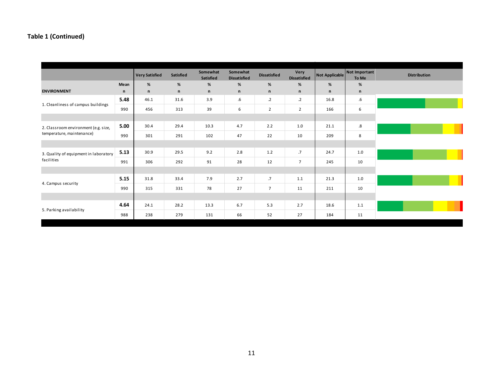|                                       |      | <b>Very Satisfied</b> | <b>Satisfied</b> | Somewhat<br><b>Satisfied</b> | Somewhat<br><b>Dissatisfied</b> | <b>Dissatisfied</b> | Very<br><b>Dissatisfied</b> | Not Applicable | Not Important<br>To Me | <b>Distribution</b> |
|---------------------------------------|------|-----------------------|------------------|------------------------------|---------------------------------|---------------------|-----------------------------|----------------|------------------------|---------------------|
|                                       | Mean | %                     | $\%$             | %                            | %                               | %                   | $\%$                        | %              | %                      |                     |
| <b>ENVIRONMENT</b>                    | n    | n                     | $\mathsf{n}$     | n                            | n                               | n                   | $\mathsf{n}$                | n              | n                      |                     |
| 1. Cleanliness of campus buildings    | 5.48 | 46.1                  | 31.6             | 3.9                          | $.6\,$                          | $\cdot$ .2          | $\cdot$ .2                  | 16.8           | $.6\,$                 |                     |
|                                       | 990  | 456                   | 313              | 39                           | 6                               | $\overline{2}$      | $\overline{2}$              | 166            | 6                      |                     |
|                                       |      |                       |                  |                              |                                 |                     |                             |                |                        |                     |
| 2. Classroom environment (e.g. size,  | 5.00 | 30.4                  | 29.4             | 10.3                         | 4.7                             | 2.2                 | 1.0                         | 21.1           | $.8\,$                 |                     |
| temperature, maintenance)             | 990  | 301                   | 291              | 102                          | 47                              | 22                  | 10                          | 209            | 8                      |                     |
|                                       |      |                       |                  |                              |                                 |                     |                             |                |                        |                     |
| 3. Quality of equipment in laboratory | 5.13 | 30.9                  | 29.5             | 9.2                          | 2.8                             | 1.2                 | .7                          | 24.7           | 1.0                    |                     |
| facilities                            | 991  | 306                   | 292              | 91                           | 28                              | 12                  | $\overline{7}$              | 245            | 10                     |                     |
|                                       |      |                       |                  |                              |                                 |                     |                             |                |                        |                     |
| 4. Campus security                    | 5.15 | 31.8                  | 33.4             | 7.9                          | 2.7                             | .7                  | 1.1                         | 21.3           | 1.0                    |                     |
|                                       | 990  | 315                   | 331              | 78                           | 27                              | $\overline{7}$      | 11                          | 211            | 10                     |                     |
|                                       |      |                       |                  |                              |                                 |                     |                             |                |                        |                     |
|                                       | 4.64 | 24.1                  | 28.2             | 13.3                         | 6.7                             | 5.3                 | 2.7                         | 18.6           | 1.1                    |                     |
| 5. Parking availability               | 988  | 238                   | 279              | 131                          | 66                              | 52                  | 27                          | 184            | 11                     |                     |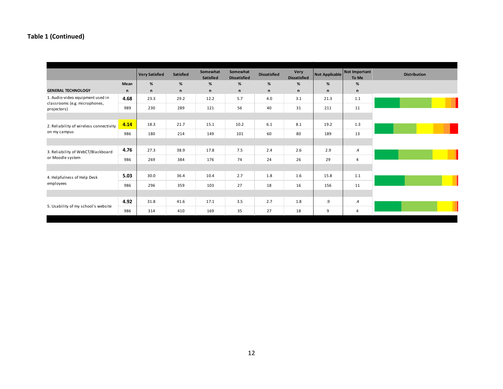|                                                                   |      | <b>Very Satisfied</b> | Satisfied    | Somewhat<br>Satisfied | Somewhat<br><b>Dissatisfied</b> | <b>Dissatisfied</b> | Very<br><b>Dissatisfied</b> | Not Applicable | Not Important<br>To Me |
|-------------------------------------------------------------------|------|-----------------------|--------------|-----------------------|---------------------------------|---------------------|-----------------------------|----------------|------------------------|
|                                                                   | Mean | %                     | %            | %                     | %                               | %                   | %                           | %              | %                      |
| <b>GENERAL TECHNOLOGY</b>                                         | n    | $\mathsf{n}$          | $\mathsf{n}$ | n                     | n                               | n                   | n                           | n              | $\mathsf n$            |
| 1. Audio-video equipment used in<br>classrooms (e.g. microphones, | 4.68 | 23.3                  | 29.2         | 12.2                  | 5.7                             | 4.0                 | 3.1                         | 21.3           | 1.1                    |
| projectors)                                                       | 989  | 230                   | 289          | 121                   | 56                              | 40                  | 31                          | 211            | 11                     |
|                                                                   |      |                       |              |                       |                                 |                     |                             |                |                        |
| 2. Reliability of wireless connectivity                           | 4.14 | 18.3                  | 21.7         | 15.1                  | 10.2                            | 6.1                 | 8.1                         | 19.2           | 1.3                    |
| on my campus                                                      | 986  | 180                   | 214          | 149                   | 101                             | 60                  | 80                          | 189            | 13                     |
|                                                                   |      |                       |              |                       |                                 |                     |                             |                |                        |
| 3. Reliability of WebCT/Blackboard                                | 4.76 | 27.3                  | 38.9         | 17.8                  | 7.5                             | 2.4                 | 2.6                         | 2.9            | $\cdot$                |
| or Moodle system                                                  | 986  | 269                   | 384          | 176                   | 74                              | 24                  | 26                          | 29             | 4                      |
|                                                                   |      |                       |              |                       |                                 |                     |                             |                |                        |
| 4. Helpfulness of Help Desk                                       | 5.03 | 30.0                  | 36.4         | 10.4                  | 2.7                             | 1.8                 | 1.6                         | 15.8           | 1.1                    |
| employees                                                         | 986  | 296                   | 359          | 103                   | 27                              | 18                  | 16                          | 156            | 11                     |
|                                                                   |      |                       |              |                       |                                 |                     |                             |                |                        |
|                                                                   | 4.92 | 31.8                  | 41.6         | 17.1                  | 3.5                             | 2.7                 | 1.8                         | .9             | $\cdot$                |
| 5. Usability of my school's website                               | 986  | 314                   | 410          | 169                   | 35                              | 27                  | 18                          | 9              | 4                      |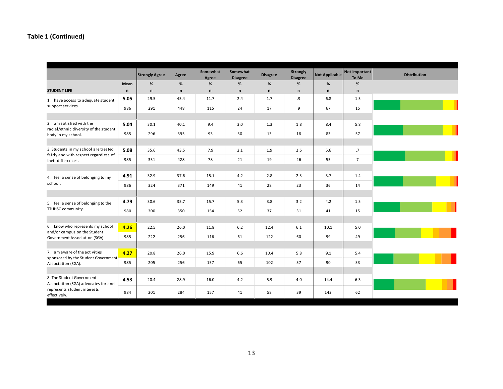|                                                                        |              | <b>Strongly Agree</b> | Agree        | Somewhat<br>Agree | Somewhat<br><b>Disagree</b> | <b>Disagree</b> | Strongly<br><b>Disagree</b> | <b>Not Applicable</b> | Not Important<br>To Me | <b>Distribution</b> |
|------------------------------------------------------------------------|--------------|-----------------------|--------------|-------------------|-----------------------------|-----------------|-----------------------------|-----------------------|------------------------|---------------------|
|                                                                        | Mean         | %                     | %            | %                 | $\%$                        | %               | %                           | %                     | $\%$                   |                     |
| <b>STUDENT LIFE</b>                                                    | $\mathsf{n}$ | $\mathsf{n}$          | $\mathsf{n}$ | $\mathsf{n}$      | $\mathsf{n}$                | $\mathsf{n}$    | $\mathsf{n}$                | $\mathsf{n}$          | $\mathsf{n}$           |                     |
| 1. I have access to adequate student                                   | 5.05         | 29.5                  | 45.4         | 11.7              | 2.4                         | 1.7             | .9                          | 6.8                   | 1.5                    |                     |
| support services.                                                      | 986          | 291                   | 448          | 115               | 24                          | 17              | 9                           | 67                    | 15                     |                     |
|                                                                        |              |                       |              |                   |                             |                 |                             |                       |                        |                     |
| 2. I am satisfied with the                                             | 5.04         | 30.1                  | 40.1         | 9.4               | 3.0                         | 1.3             | 1.8                         | 8.4                   | 5.8                    |                     |
| racial/ethnic diversity of the student<br>body in my school.           | 985          | 296                   | 395          | 93                | 30                          | 13              | 18                          | 83                    | 57                     |                     |
|                                                                        |              |                       |              |                   |                             |                 |                             |                       |                        |                     |
| 3. Students in my school are treated                                   | 5.08         | 35.6                  | 43.5         | 7.9               | 2.1                         | 1.9             | 2.6                         | 5.6                   | .7                     |                     |
| fairly and with respect regardless of<br>their differences.            | 985          | 351                   | 428          | 78                | 21                          | 19              | 26                          | 55                    | $\overline{7}$         |                     |
|                                                                        |              |                       |              |                   |                             |                 |                             |                       |                        |                     |
| 4. I feel a sense of belonging to my                                   | 4.91         | 32.9                  | 37.6         | 15.1              | 4.2                         | 2.8             | 2.3                         | 3.7                   | 1.4                    |                     |
| school.                                                                | 986          | 324                   | 371          | 149               | 41                          | 28              | 23                          | 36                    | 14                     |                     |
|                                                                        |              |                       |              |                   |                             |                 |                             |                       |                        |                     |
| 5. I feel a sense of belonging to the                                  | 4.79         | 30.6                  | 35.7         | 15.7              | 5.3                         | 3.8             | 3.2                         | 4.2                   | 1.5                    |                     |
| TTUHSC community.                                                      | 980          | 300                   | 350          | 154               | 52                          | 37              | 31                          | 41                    | 15                     |                     |
|                                                                        |              |                       |              |                   |                             |                 |                             |                       |                        |                     |
| 6. I know who represents my school<br>and/or campus on the Student     | 4.26         | 22.5                  | 26.0         | 11.8              | 6.2                         | 12.4            | 6.1                         | 10.1                  | 5.0                    |                     |
| Government Association (SGA).                                          | 985          | 222                   | 256          | 116               | 61                          | 122             | 60                          | 99                    | 49                     |                     |
|                                                                        |              |                       |              |                   |                             |                 |                             |                       |                        |                     |
| 7. I am aware of the activities<br>sponsored by the Student Government | 4.27         | 20.8                  | 26.0         | 15.9              | 6.6                         | 10.4            | 5.8                         | 9.1                   | 5.4                    |                     |
| Association (SGA).                                                     | 985          | 205                   | 256          | 157               | 65                          | 102             | 57                          | 90                    | 53                     |                     |
|                                                                        |              |                       |              |                   |                             |                 |                             |                       |                        |                     |
| 8. The Student Government<br>Association (SGA) advocates for and       | 4.53         | 20.4                  | 28.9         | 16.0              | 4.2                         | 5.9             | 4.0                         | 14.4                  | 6.3                    |                     |
| represents student interests<br>effectively.                           | 984          | 201                   | 284          | 157               | 41                          | 58              | 39                          | 142                   | 62                     |                     |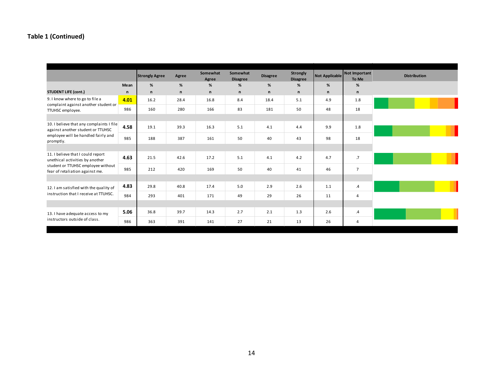|                                                                               |      | <b>Strongly Agree</b> | Agree | Somewhat<br>Agree | Somewhat<br><b>Disagree</b> | <b>Disagree</b> | <b>Strongly</b><br><b>Disagree</b> | Not Applicable | Not Important<br>To Me | <b>Distribution</b> |
|-------------------------------------------------------------------------------|------|-----------------------|-------|-------------------|-----------------------------|-----------------|------------------------------------|----------------|------------------------|---------------------|
|                                                                               | Mean | %                     | %     | %                 | %                           | %               | %                                  | %              | $\%$                   |                     |
| <b>STUDENT LIFE (cont.)</b>                                                   | n    | $\mathsf{n}$          | n     | n                 | n                           | $\mathsf{n}$    | n                                  | n              | $\mathsf{n}$           |                     |
| 9. I know where to go to file a<br>complaint against another student or       | 4.01 | 16.2                  | 28.4  | 16.8              | 8.4                         | 18.4            | 5.1                                | 4.9            | 1.8                    |                     |
| TTUHSC employee.                                                              | 986  | 160                   | 280   | 166               | 83                          | 181             | 50                                 | 48             | 18                     |                     |
|                                                                               |      |                       |       |                   |                             |                 |                                    |                |                        |                     |
| 10. I believe that any complaints I file<br>against another student or TTUHSC | 4.58 | 19.1                  | 39.3  | 16.3              | 5.1                         | 4.1             | 4.4                                | 9.9            | 1.8                    |                     |
| employee will be handled fairly and<br>promptly.                              | 985  | 188                   | 387   | 161               | 50                          | 40              | 43                                 | 98             | 18                     |                     |
|                                                                               |      |                       |       |                   |                             |                 |                                    |                |                        |                     |
| 11. I believe that I could report<br>unethical activities by another          | 4.63 | 21.5                  | 42.6  | 17.2              | 5.1                         | 4.1             | 4.2                                | 4.7            | .7                     |                     |
| student or TTUHSC employee without<br>fear of retaliation against me.         | 985  | 212                   | 420   | 169               | 50                          | 40              | 41                                 | 46             | $\overline{7}$         |                     |
|                                                                               |      |                       |       |                   |                             |                 |                                    |                |                        |                     |
| 12. I am satisfied with the quality of                                        | 4.83 | 29.8                  | 40.8  | 17.4              | 5.0                         | 2.9             | 2.6                                | 1.1            | $\cdot$                |                     |
| instruction that I receive at TTUHSC.                                         | 984  | 293                   | 401   | 171               | 49                          | 29              | 26                                 | 11             | 4                      |                     |
|                                                                               |      |                       |       |                   |                             |                 |                                    |                |                        |                     |
| 13. I have adequate access to my                                              | 5.06 | 36.8                  | 39.7  | 14.3              | 2.7                         | 2.1             | 1.3                                | 2.6            | $\overline{A}$         |                     |
| instructors outside of class.                                                 | 986  | 363                   | 391   | 141               | 27                          | 21              | 13                                 | 26             | 4                      |                     |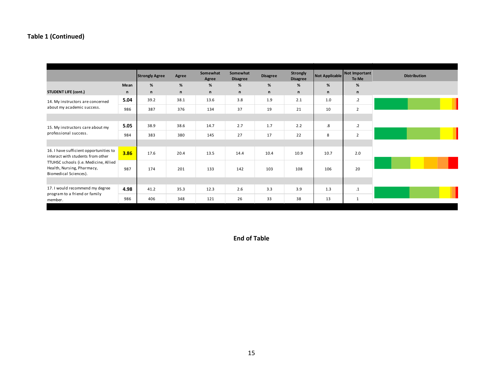|                                                                                              |              | <b>Strongly Agree</b> | Agree | Somewhat<br>Agree | Somewhat<br><b>Disagree</b> | <b>Disagree</b> | <b>Strongly</b><br><b>Disagree</b> | Not Applicable    | Not Important<br>To Me |
|----------------------------------------------------------------------------------------------|--------------|-----------------------|-------|-------------------|-----------------------------|-----------------|------------------------------------|-------------------|------------------------|
|                                                                                              | Mean         | %                     | %     | %                 | %                           | %               | %                                  | %                 | %                      |
| <b>STUDENT LIFE (cont.)</b>                                                                  | $\mathsf{n}$ | n                     | n     | $\mathsf{n}$      | n                           | n               | n                                  | n                 | n                      |
| 14. My instructors are concerned                                                             | 5.04         | 39.2                  | 38.1  | 13.6              | 3.8                         | 1.9             | 2.1                                | 1.0               | $.2\phantom{0}$        |
| about my academic success.                                                                   | 986          | 387                   | 376   | 134               | 37                          | 19              | 21                                 | 10                | $\overline{2}$         |
|                                                                                              |              |                       |       |                   |                             |                 |                                    |                   |                        |
| 15. My instructors care about my                                                             | 5.05         | 38.9                  | 38.6  | 14.7              | 2.7                         | 1.7             | 2.2                                | $\boldsymbol{.8}$ | $\cdot$ .2             |
| professional success.                                                                        | 984          | 383                   | 380   | 145               | 27                          | 17              | 22                                 | 8                 | $\overline{2}$         |
|                                                                                              |              |                       |       |                   |                             |                 |                                    |                   |                        |
| 16. I have sufficient opportunities to<br>interact with students from other                  | 3.86         | 17.6                  | 20.4  | 13.5              | 14.4                        | 10.4            | 10.9                               | 10.7              | 2.0                    |
| TTUHSC schools (i.e. Medicine, Allied<br>Health, Nursing, Pharmacy,<br>Biomedical Sciences). | 987          | 174                   | 201   | 133               | 142                         | 103             | 108                                | 106               | 20                     |
|                                                                                              |              |                       |       |                   |                             |                 |                                    |                   |                        |
| 17. I would recommend my degree                                                              | 4.98         | 41.2                  | 35.3  | 12.3              | 2.6                         | 3.3             | 3.9                                | 1.3               | $\cdot$ 1              |
| program to a friend or family<br>member.                                                     | 986          | 406                   | 348   | 121               | 26                          | 33              | 38                                 | 13                | $\mathbf{1}$           |

**End of Table**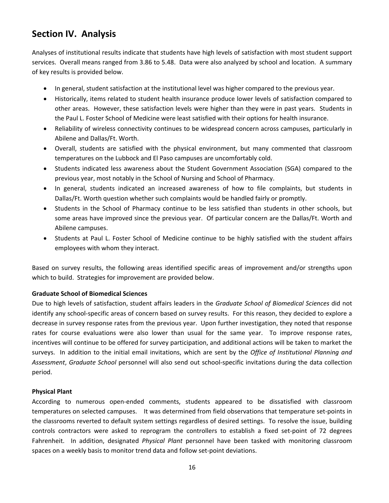# **Section IV. Analysis**

Analyses of institutional results indicate that students have high levels of satisfaction with most student support services. Overall means ranged from 3.86 to 5.48. Data were also analyzed by school and location. A summary of key results is provided below.

- In general, student satisfaction at the institutional level was higher compared to the previous year.
- Historically, items related to student health insurance produce lower levels of satisfaction compared to other areas. However, these satisfaction levels were higher than they were in past years. Students in the Paul L. Foster School of Medicine were least satisfied with their options for health insurance.
- Reliability of wireless connectivity continues to be widespread concern across campuses, particularly in Abilene and Dallas/Ft. Worth.
- Overall, students are satisfied with the physical environment, but many commented that classroom temperatures on the Lubbock and El Paso campuses are uncomfortably cold.
- Students indicated less awareness about the Student Government Association (SGA) compared to the previous year, most notably in the School of Nursing and School of Pharmacy.
- In general, students indicated an increased awareness of how to file complaints, but students in Dallas/Ft. Worth question whether such complaints would be handled fairly or promptly.
- Students in the School of Pharmacy continue to be less satisfied than students in other schools, but some areas have improved since the previous year. Of particular concern are the Dallas/Ft. Worth and Abilene campuses.
- Students at Paul L. Foster School of Medicine continue to be highly satisfied with the student affairs employees with whom they interact.

Based on survey results, the following areas identified specific areas of improvement and/or strengths upon which to build. Strategies for improvement are provided below.

#### **Graduate School of Biomedical Sciences**

Due to high levels of satisfaction, student affairs leaders in the *Graduate School of Biomedical Sciences* did not identify any school‐specific areas of concern based on survey results. For this reason, they decided to explore a decrease in survey response rates from the previous year. Upon further investigation, they noted that response rates for course evaluations were also lower than usual for the same year. To improve response rates, incentives will continue to be offered for survey participation, and additional actions will be taken to market the surveys. In addition to the initial email invitations, which are sent by the *Office of Institutional Planning and Assessment*, *Graduate School* personnel will also send out school‐specific invitations during the data collection period.

#### **Physical Plant**

According to numerous open‐ended comments, students appeared to be dissatisfied with classroom temperatures on selected campuses. It was determined from field observations that temperature set‐points in the classrooms reverted to default system settings regardless of desired settings. To resolve the issue, building controls contractors were asked to reprogram the controllers to establish a fixed set‐point of 72 degrees Fahrenheit. In addition, designated *Physical Plant* personnel have been tasked with monitoring classroom spaces on a weekly basis to monitor trend data and follow set‐point deviations.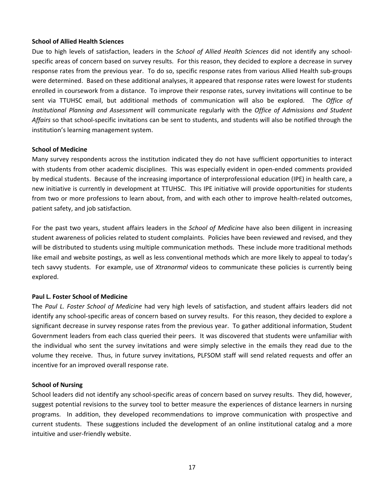#### **School of Allied Health Sciences**

Due to high levels of satisfaction, leaders in the *School of Allied Health Sciences* did not identify any school‐ specific areas of concern based on survey results. For this reason, they decided to explore a decrease in survey response rates from the previous year. To do so, specific response rates from various Allied Health sub‐groups were determined. Based on these additional analyses, it appeared that response rates were lowest for students enrolled in coursework from a distance. To improve their response rates, survey invitations will continue to be sent via TTUHSC email, but additional methods of communication will also be explored. The *Office of Institutional Planning and Assessment* will communicate regularly with the *Office of Admissions and Student Affairs* so that school‐specific invitations can be sent to students, and students will also be notified through the institution's learning management system.

#### **School of Medicine**

Many survey respondents across the institution indicated they do not have sufficient opportunities to interact with students from other academic disciplines. This was especially evident in open-ended comments provided by medical students. Because of the increasing importance of interprofessional education (IPE) in health care, a new initiative is currently in development at TTUHSC. This IPE initiative will provide opportunities for students from two or more professions to learn about, from, and with each other to improve health-related outcomes, patient safety, and job satisfaction.

For the past two years, student affairs leaders in the *School of Medicine* have also been diligent in increasing student awareness of policies related to student complaints. Policies have been reviewed and revised, and they will be distributed to students using multiple communication methods. These include more traditional methods like email and website postings, as well as less conventional methods which are more likely to appeal to today's tech savvy students. For example, use of *Xtranormal* videos to communicate these policies is currently being explored.

#### **Paul L. Foster School of Medicine**

The *Paul L. Foster School of Medicine* had very high levels of satisfaction, and student affairs leaders did not identify any school‐specific areas of concern based on survey results. For this reason, they decided to explore a significant decrease in survey response rates from the previous year. To gather additional information, Student Government leaders from each class queried their peers. It was discovered that students were unfamiliar with the individual who sent the survey invitations and were simply selective in the emails they read due to the volume they receive. Thus, in future survey invitations, PLFSOM staff will send related requests and offer an incentive for an improved overall response rate.

#### **School of Nursing**

School leaders did not identify any school‐specific areas of concern based on survey results. They did, however, suggest potential revisions to the survey tool to better measure the experiences of distance learners in nursing programs. In addition, they developed recommendations to improve communication with prospective and current students. These suggestions included the development of an online institutional catalog and a more intuitive and user‐friendly website.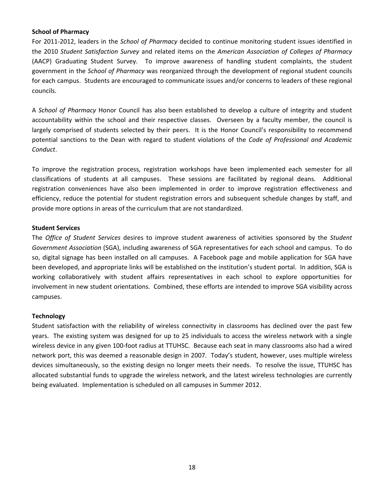#### **School of Pharmacy**

For 2011‐2012, leaders in the *School of Pharmacy* decided to continue monitoring student issues identified in the 2010 *Student Satisfaction Survey* and related items on the *American Association of Colleges of Pharmacy* (AACP) Graduating Student Survey. To improve awareness of handling student complaints, the student government in the *School of Pharmacy* was reorganized through the development of regional student councils for each campus. Students are encouraged to communicate issues and/or concerns to leaders of these regional councils.

A *School of Pharmacy* Honor Council has also been established to develop a culture of integrity and student accountability within the school and their respective classes. Overseen by a faculty member, the council is largely comprised of students selected by their peers. It is the Honor Council's responsibility to recommend potential sanctions to the Dean with regard to student violations of the *Code of Professional and Academic Conduct*.

To improve the registration process, registration workshops have been implemented each semester for all classifications of students at all campuses. These sessions are facilitated by regional deans. Additional registration conveniences have also been implemented in order to improve registration effectiveness and efficiency, reduce the potential for student registration errors and subsequent schedule changes by staff, and provide more options in areas of the curriculum that are not standardized.

#### **Student Services**

The *Office of Student Services* desires to improve student awareness of activities sponsored by the *Student Government Association* (SGA), including awareness of SGA representatives for each school and campus. To do so, digital signage has been installed on all campuses. A Facebook page and mobile application for SGA have been developed, and appropriate links will be established on the institution's student portal. In addition, SGA is working collaboratively with student affairs representatives in each school to explore opportunities for involvement in new student orientations. Combined, these efforts are intended to improve SGA visibility across campuses.

#### **Technology**

Student satisfaction with the reliability of wireless connectivity in classrooms has declined over the past few years. The existing system was designed for up to 25 individuals to access the wireless network with a single wireless device in any given 100‐foot radius at TTUHSC. Because each seat in many classrooms also had a wired network port, this was deemed a reasonable design in 2007. Today's student, however, uses multiple wireless devices simultaneously, so the existing design no longer meets their needs. To resolve the issue, TTUHSC has allocated substantial funds to upgrade the wireless network, and the latest wireless technologies are currently being evaluated. Implementation is scheduled on all campuses in Summer 2012.